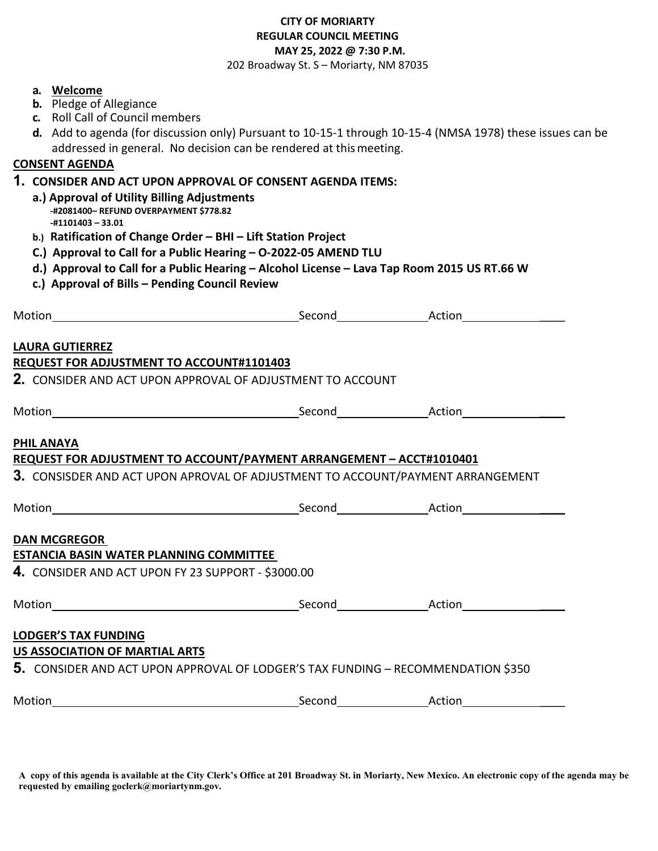## **CITY OF MORIARTY REGULAR COUNCIL MEETING MAY 25, 2022 @ 7:30 P.M.**

202 Broadway St. S – Moriarty, NM 87035

| a. Welcome<br><b>b.</b> Pledge of Allegiance<br>c. Roll Call of Council members<br>addressed in general. No decision can be rendered at this meeting.<br><b>CONSENT AGENDA</b><br>1. CONSIDER AND ACT UPON APPROVAL OF CONSENT AGENDA ITEMS:<br>a.) Approval of Utility Billing Adjustments<br>-#2081400- REFUND OVERPAYMENT \$778.82<br>-#1101403 - 33.01<br>b.) Ratification of Change Order - BHI - Lift Station Project<br>C.) Approval to Call for a Public Hearing - O-2022-05 AMEND TLU<br>d.) Approval to Call for a Public Hearing - Alcohol License - Lava Tap Room 2015 US RT.66 W<br>c.) Approval of Bills - Pending Council Review | d. Add to agenda (for discussion only) Pursuant to 10-15-1 through 10-15-4 (NMSA 1978) these issues can be |
|-------------------------------------------------------------------------------------------------------------------------------------------------------------------------------------------------------------------------------------------------------------------------------------------------------------------------------------------------------------------------------------------------------------------------------------------------------------------------------------------------------------------------------------------------------------------------------------------------------------------------------------------------|------------------------------------------------------------------------------------------------------------|
|                                                                                                                                                                                                                                                                                                                                                                                                                                                                                                                                                                                                                                                 |                                                                                                            |
|                                                                                                                                                                                                                                                                                                                                                                                                                                                                                                                                                                                                                                                 |                                                                                                            |
| <b>LAURA GUTIERREZ</b><br>REQUEST FOR ADJUSTMENT TO ACCOUNT#1101403<br><b>2. CONSIDER AND ACT UPON APPROVAL OF ADJUSTMENT TO ACCOUNT</b>                                                                                                                                                                                                                                                                                                                                                                                                                                                                                                        |                                                                                                            |
|                                                                                                                                                                                                                                                                                                                                                                                                                                                                                                                                                                                                                                                 |                                                                                                            |
| <b>PHIL ANAYA</b><br>REQUEST FOR ADJUSTMENT TO ACCOUNT/PAYMENT ARRANGEMENT - ACCT#1010401<br>3. CONSISDER AND ACT UPON APROVAL OF ADJUSTMENT TO ACCOUNT/PAYMENT ARRANGEMENT                                                                                                                                                                                                                                                                                                                                                                                                                                                                     |                                                                                                            |
| <b>DAN MCGREGOR</b><br><b>ESTANCIA BASIN WATER PLANNING COMMITTEE</b><br>4. CONSIDER AND ACT UPON FY 23 SUPPORT - \$3000.00                                                                                                                                                                                                                                                                                                                                                                                                                                                                                                                     |                                                                                                            |
|                                                                                                                                                                                                                                                                                                                                                                                                                                                                                                                                                                                                                                                 |                                                                                                            |
| <b>LODGER'S TAX FUNDING</b><br><b>US ASSOCIATION OF MARTIAL ARTS</b><br><b>5.</b> CONSIDER AND ACT UPON APPROVAL OF LODGER'S TAX FUNDING – RECOMMENDATION \$350                                                                                                                                                                                                                                                                                                                                                                                                                                                                                 |                                                                                                            |
|                                                                                                                                                                                                                                                                                                                                                                                                                                                                                                                                                                                                                                                 |                                                                                                            |

**A copy of this agenda is available at the City Clerk's Office at 201 Broadway St. in Moriarty, New Mexico. An electronic copy of the agenda may be requested by emailing goclerk@moriartynm.gov.**